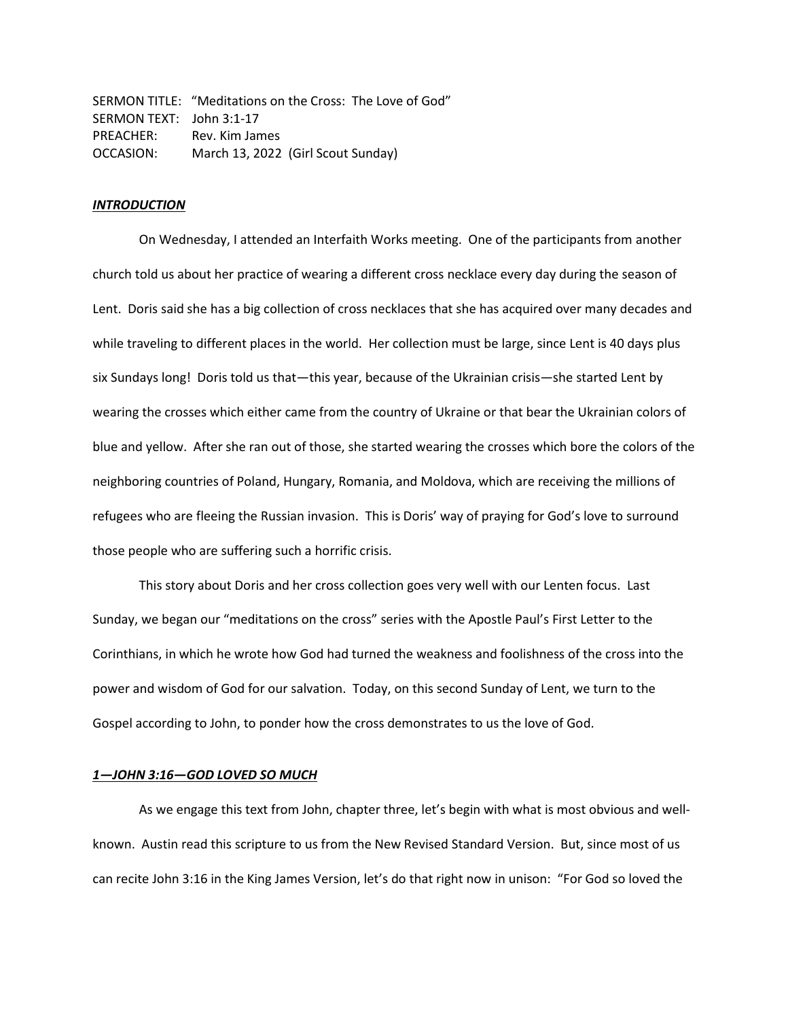SERMON TITLE: "Meditations on the Cross: The Love of God" SERMON TEXT: John 3:1-17 PREACHER: Rev. Kim James OCCASION: March 13, 2022 (Girl Scout Sunday)

### *INTRODUCTION*

On Wednesday, I attended an Interfaith Works meeting. One of the participants from another church told us about her practice of wearing a different cross necklace every day during the season of Lent. Doris said she has a big collection of cross necklaces that she has acquired over many decades and while traveling to different places in the world. Her collection must be large, since Lent is 40 days plus six Sundays long! Doris told us that—this year, because of the Ukrainian crisis—she started Lent by wearing the crosses which either came from the country of Ukraine or that bear the Ukrainian colors of blue and yellow. After she ran out of those, she started wearing the crosses which bore the colors of the neighboring countries of Poland, Hungary, Romania, and Moldova, which are receiving the millions of refugees who are fleeing the Russian invasion. This is Doris' way of praying for God's love to surround those people who are suffering such a horrific crisis.

This story about Doris and her cross collection goes very well with our Lenten focus. Last Sunday, we began our "meditations on the cross" series with the Apostle Paul's First Letter to the Corinthians, in which he wrote how God had turned the weakness and foolishness of the cross into the power and wisdom of God for our salvation. Today, on this second Sunday of Lent, we turn to the Gospel according to John, to ponder how the cross demonstrates to us the love of God.

### *1—JOHN 3:16—GOD LOVED SO MUCH*

As we engage this text from John, chapter three, let's begin with what is most obvious and wellknown. Austin read this scripture to us from the New Revised Standard Version. But, since most of us can recite John 3:16 in the King James Version, let's do that right now in unison: "For God so loved the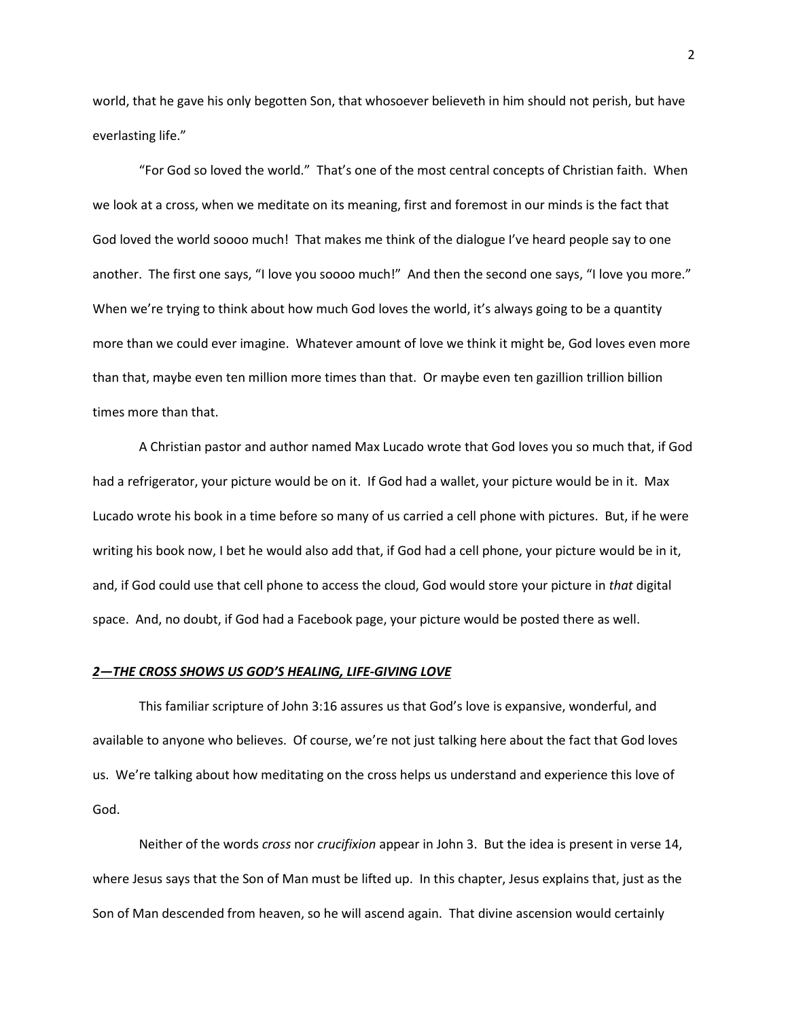world, that he gave his only begotten Son, that whosoever believeth in him should not perish, but have everlasting life."

"For God so loved the world." That's one of the most central concepts of Christian faith. When we look at a cross, when we meditate on its meaning, first and foremost in our minds is the fact that God loved the world soooo much! That makes me think of the dialogue I've heard people say to one another. The first one says, "I love you soooo much!" And then the second one says, "I love you more." When we're trying to think about how much God loves the world, it's always going to be a quantity more than we could ever imagine. Whatever amount of love we think it might be, God loves even more than that, maybe even ten million more times than that. Or maybe even ten gazillion trillion billion times more than that.

A Christian pastor and author named Max Lucado wrote that God loves you so much that, if God had a refrigerator, your picture would be on it. If God had a wallet, your picture would be in it. Max Lucado wrote his book in a time before so many of us carried a cell phone with pictures. But, if he were writing his book now, I bet he would also add that, if God had a cell phone, your picture would be in it, and, if God could use that cell phone to access the cloud, God would store your picture in *that* digital space. And, no doubt, if God had a Facebook page, your picture would be posted there as well.

# *2—THE CROSS SHOWS US GOD'S HEALING, LIFE-GIVING LOVE*

This familiar scripture of John 3:16 assures us that God's love is expansive, wonderful, and available to anyone who believes. Of course, we're not just talking here about the fact that God loves us. We're talking about how meditating on the cross helps us understand and experience this love of God.

Neither of the words *cross* nor *crucifixion* appear in John 3. But the idea is present in verse 14, where Jesus says that the Son of Man must be lifted up. In this chapter, Jesus explains that, just as the Son of Man descended from heaven, so he will ascend again. That divine ascension would certainly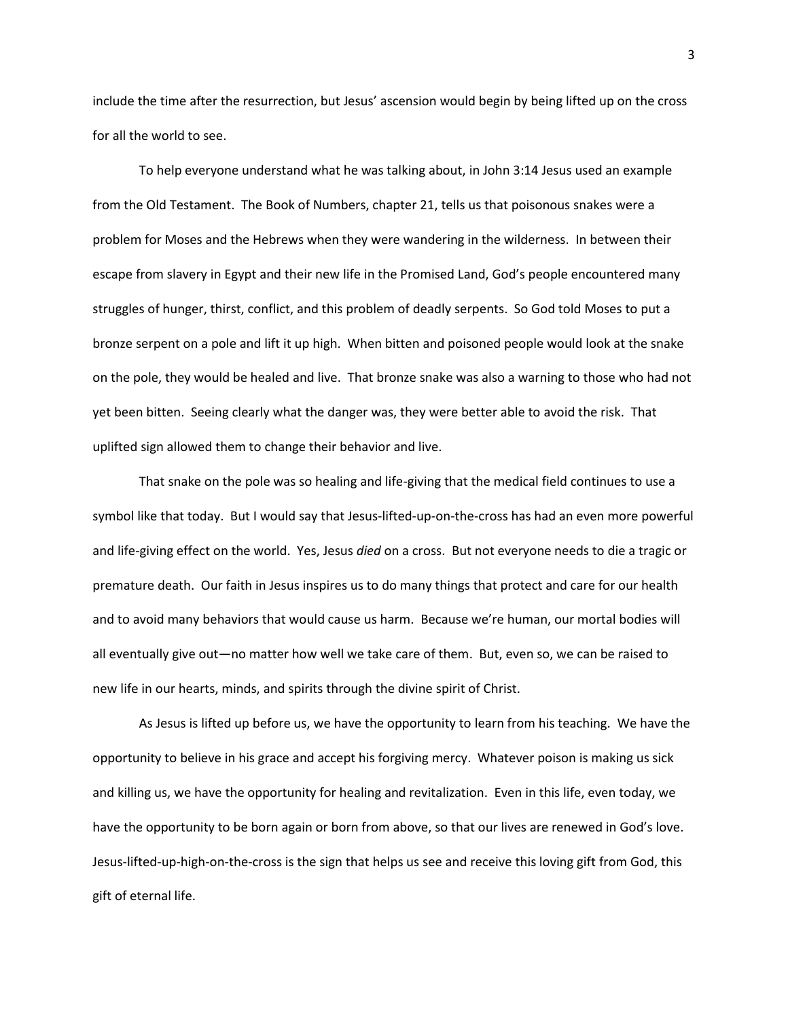include the time after the resurrection, but Jesus' ascension would begin by being lifted up on the cross for all the world to see.

To help everyone understand what he was talking about, in John 3:14 Jesus used an example from the Old Testament. The Book of Numbers, chapter 21, tells us that poisonous snakes were a problem for Moses and the Hebrews when they were wandering in the wilderness. In between their escape from slavery in Egypt and their new life in the Promised Land, God's people encountered many struggles of hunger, thirst, conflict, and this problem of deadly serpents. So God told Moses to put a bronze serpent on a pole and lift it up high. When bitten and poisoned people would look at the snake on the pole, they would be healed and live. That bronze snake was also a warning to those who had not yet been bitten. Seeing clearly what the danger was, they were better able to avoid the risk. That uplifted sign allowed them to change their behavior and live.

That snake on the pole was so healing and life-giving that the medical field continues to use a symbol like that today. But I would say that Jesus-lifted-up-on-the-cross has had an even more powerful and life-giving effect on the world. Yes, Jesus *died* on a cross. But not everyone needs to die a tragic or premature death. Our faith in Jesus inspires us to do many things that protect and care for our health and to avoid many behaviors that would cause us harm. Because we're human, our mortal bodies will all eventually give out—no matter how well we take care of them. But, even so, we can be raised to new life in our hearts, minds, and spirits through the divine spirit of Christ.

As Jesus is lifted up before us, we have the opportunity to learn from his teaching. We have the opportunity to believe in his grace and accept his forgiving mercy. Whatever poison is making us sick and killing us, we have the opportunity for healing and revitalization. Even in this life, even today, we have the opportunity to be born again or born from above, so that our lives are renewed in God's love. Jesus-lifted-up-high-on-the-cross is the sign that helps us see and receive this loving gift from God, this gift of eternal life.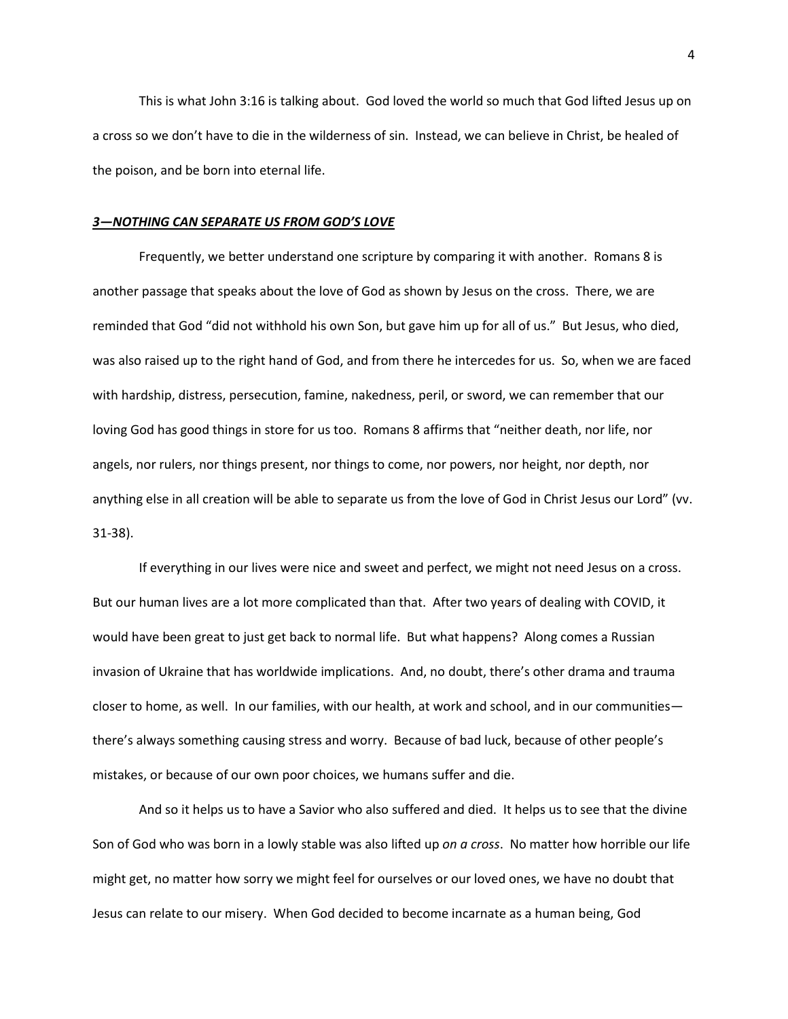This is what John 3:16 is talking about. God loved the world so much that God lifted Jesus up on a cross so we don't have to die in the wilderness of sin. Instead, we can believe in Christ, be healed of the poison, and be born into eternal life.

#### *3—NOTHING CAN SEPARATE US FROM GOD'S LOVE*

Frequently, we better understand one scripture by comparing it with another. Romans 8 is another passage that speaks about the love of God as shown by Jesus on the cross. There, we are reminded that God "did not withhold his own Son, but gave him up for all of us." But Jesus, who died, was also raised up to the right hand of God, and from there he intercedes for us. So, when we are faced with hardship, distress, persecution, famine, nakedness, peril, or sword, we can remember that our loving God has good things in store for us too. Romans 8 affirms that "neither death, nor life, nor angels, nor rulers, nor things present, nor things to come, nor powers, nor height, nor depth, nor anything else in all creation will be able to separate us from the love of God in Christ Jesus our Lord" (vv. 31-38).

If everything in our lives were nice and sweet and perfect, we might not need Jesus on a cross. But our human lives are a lot more complicated than that. After two years of dealing with COVID, it would have been great to just get back to normal life. But what happens? Along comes a Russian invasion of Ukraine that has worldwide implications. And, no doubt, there's other drama and trauma closer to home, as well. In our families, with our health, at work and school, and in our communities there's always something causing stress and worry. Because of bad luck, because of other people's mistakes, or because of our own poor choices, we humans suffer and die.

And so it helps us to have a Savior who also suffered and died. It helps us to see that the divine Son of God who was born in a lowly stable was also lifted up *on a cross*. No matter how horrible our life might get, no matter how sorry we might feel for ourselves or our loved ones, we have no doubt that Jesus can relate to our misery. When God decided to become incarnate as a human being, God